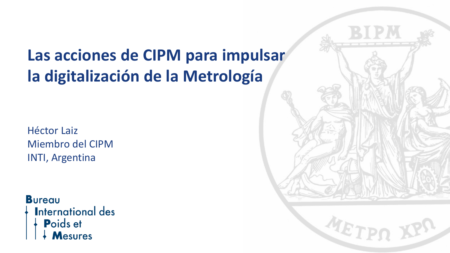# **Las acciones de CIPM para impulsar la digitalización de la Metrología**

Héctor Laiz Miembro del CIPM INTI, Argentina

#### **Bureau**

**International des** Poids et

Mesures

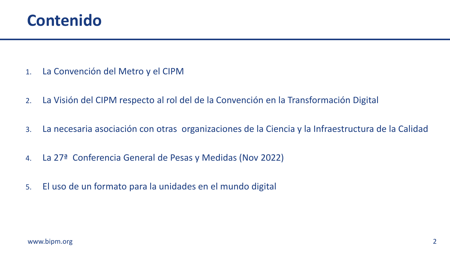

- 1. La Convención del Metro y el CIPM
- 2. La Visión del CIPM respecto al rol del de la Convención en la Transformación Digital
- 3. La necesaria asociación con otras organizaciones de la Ciencia y la Infraestructura de la Calidad
- 4. La 27ª Conferencia General de Pesas y Medidas (Nov 2022)
- 5. El uso de un formato para la unidades en el mundo digital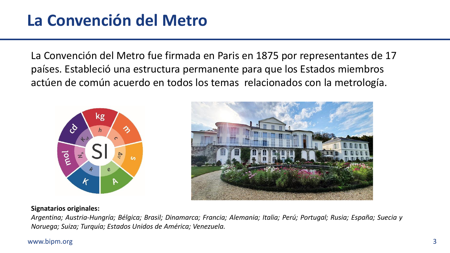# **La Convención del Metro**

La Convención del Metro fue firmada en Paris en 1875 por representantes de 17 países. Estableció una estructura permanente para que los Estados miembros actúen de común acuerdo en todos los temas relacionados con la metrología.





#### **Signatarios originales:**

*Argentina; Austria-Hungría; Bélgica; Brasil; Dinamarca; Francia; Alemania; Italia; Perú; Portugal; Rusia; España; Suecia y Noruega; Suiza; Turquía; Estados Unidos de América; Venezuela.*

#### www.bipm.org 3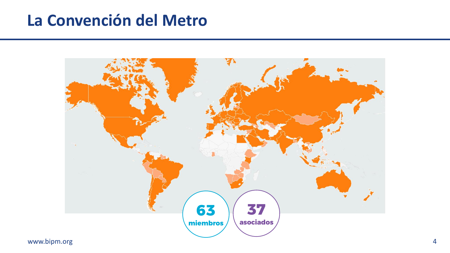# **La Convención del Metro**



www.bipm.org 4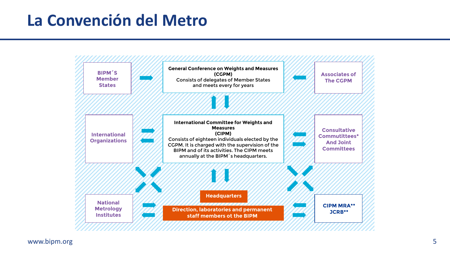# **La Convención del Metro**



www.bipm.org 5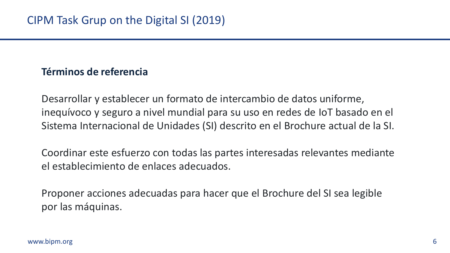### **Términos de referencia**

Desarrollar y establecer un formato de intercambio de datos uniforme, inequívoco y seguro a nivel mundial para su uso en redes de IoT basado en el Sistema Internacional de Unidades (SI) descrito en el Brochure actual de la SI.

Coordinar este esfuerzo con todas las partes interesadas relevantes mediante el establecimiento de enlaces adecuados.

Proponer acciones adecuadas para hacer que el Brochure del SI sea legible por las máquinas.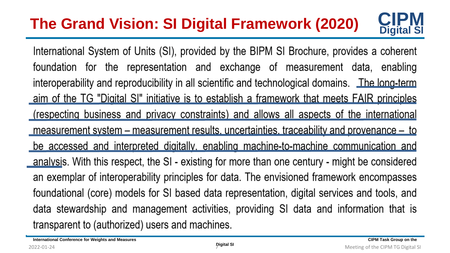#### **CIPM Digital SI The Grand Vision: SI Digital Framework (2020)**

International System of Units (SI), provided by the BIPM SI Brochure, provides a coherent foundation for the representation and exchange of measurement data, enabling interoperability and reproducibility in all scientific and technological domains. The long-term aim of the TG "Digital SI" initiative is to establish a framework that meets FAIR principles (respecting business and privacy constraints) and allows all aspects of the international measurement system – measurement results, uncertainties, traceability and provenance – to be accessed and interpreted digitally, enabling machine-to-machine communication and analysis. With this respect, the SI - existing for more than one century - might be considered an exemplar of interoperability principles for data. The envisioned framework encompasses foundational (core) models for SI based data representation, digital services and tools, and data stewardship and management activities, providing SI data and information that is transparent to (authorized) users and machines.

**International Conference for Weights and Measures CIPM Task Group on the structure of the structure of the structure of the structure of the structure of the structure of the structure of the structure of the structure of**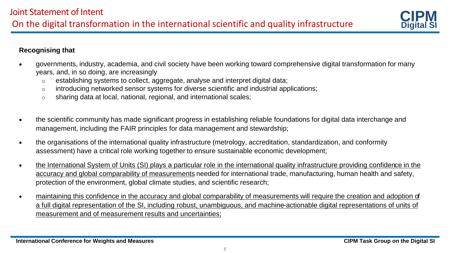

#### **Recognising that**

- governments, industry, academia, and civil society have been working toward comprehensive digital transformation for many years, and, in so doing, are increasingly
	- $\circ$  establishing systems to collect, aggregate, analyse and interpret digital data;
	- $\circ$  introducing networked sensor systems for diverse scientific and industrial applications;
	- o sharing data at local, national, regional, and international scales;
- the scientific community has made significant progress in establishing reliable foundations for digital data interchange and management, including the FAIR principles for data management and stewardship;
- the organisations of the international quality infrastructure (metrology, accreditation, standardization, and conformity assessment) have a critical role working together to ensure sustainable economic development;
- the International System of Units (SI) plays a particular role in the international quality infrastructure providing confidence in the accuracy and global comparability of measurements needed for international trade, manufacturing, human health and safety, protection of the environment, global climate studies, and scientific research;
- maintaining this confidence in the accuracy and global comparability of measurements will require the creation and adoption of a full digital representation of the SI, including robust, unambiguous, and machine-actionable digital representations of units of measurement and of measurement results and uncertainties;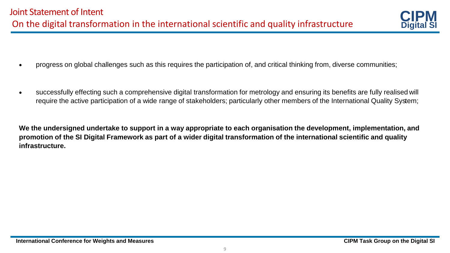

- progress on global challenges such as this requires the participation of, and critical thinking from, diverse communities;
- successfully effecting such a comprehensive digital transformation for metrology and ensuring its benefits are fully realised will require the active participation of a wide range of stakeholders; particularly other members of the International Quality System;

**We the undersigned undertake to support in a way appropriate to each organisation the development, implementation, and promotion of the SI Digital Framework as part of a wider digital transformation of the international scientific and quality infrastructure.**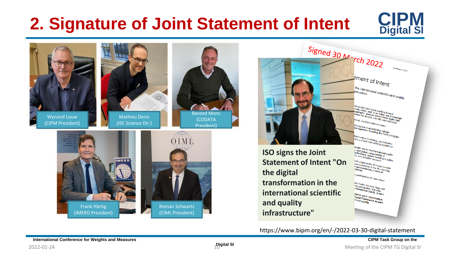# **2. Signature of Joint Statement of Intent**





https://www.bipm.org/en/-/2022-03-30-digital-statement

 $2022$ -01-24 **10 Meeting of the CIPM TG Digital SI**  $2022$ -01-24 **Meeting of the CIPM TG Digital SI**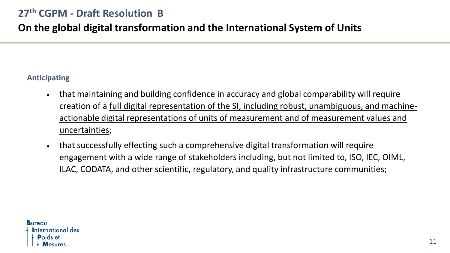## **On the global digital transformation and the International System of Units**

#### **Anticipating**

- that maintaining and building confidence in accuracy and global comparability will require creation of a full digital representation of the SI, including robust, unambiguous, and machineactionable digital representations of units of measurement and of measurement values and uncertainties;
- that successfully effecting such a comprehensive digital transformation will require engagement with a wide range of stakeholders including, but not limited to, ISO, IEC, OIML, ILAC, CODATA, and other scientific, regulatory, and quality infrastructure communities;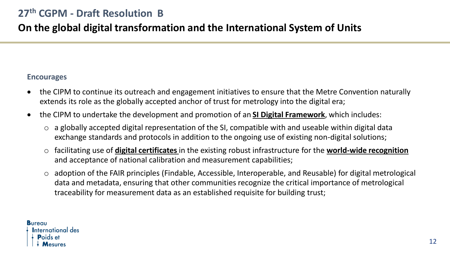## **On the global digital transformation and the International System of Units**

#### **Encourages**

- the CIPM to continue its outreach and engagement initiatives to ensure that the Metre Convention naturally extends its role as the globally accepted anchor of trust for metrology into the digital era;
- the CIPM to undertake the development and promotion of an **SI Digital Framework**, which includes:
	- o a globally accepted digital representation of the SI, compatible with and useable within digital data exchange standards and protocols in addition to the ongoing use of existing non-digital solutions;
	- o facilitating use of **digital certificates** in the existing robust infrastructure for the **world-wide recognition** and acceptance of national calibration and measurement capabilities;
	- o adoption of the FAIR principles (Findable, Accessible, Interoperable, and Reusable) for digital metrological data and metadata, ensuring that other communities recognize the critical importance of metrological traceability for measurement data as an established requisite for building trust;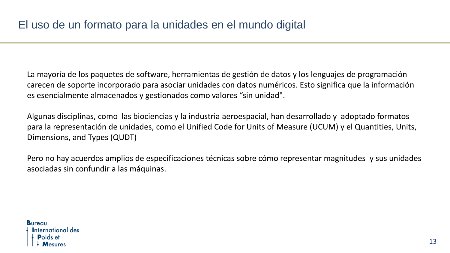La mayoría de los paquetes de software, herramientas de gestión de datos y los lenguajes de programación carecen de soporte incorporado para asociar unidades con datos numéricos. Esto significa que la información es esencialmente almacenados y gestionados como valores "sin unidad".

Algunas disciplinas, como las biociencias y la industria aeroespacial, han desarrollado y adoptado formatos para la representación de unidades, como el Unified Code for Units of Measure (UCUM) y el Quantities, Units, Dimensions, and Types (QUDT)

Pero no hay acuerdos amplios de especificaciones técnicas sobre cómo representar magnitudes y sus unidades asociadas sin confundir a las máquinas.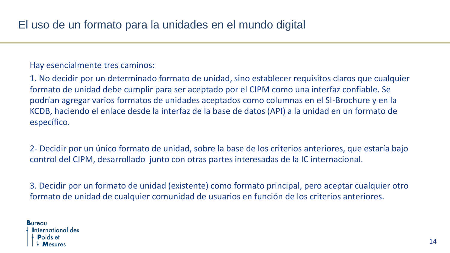Hay esencialmente tres caminos:

1. No decidir por un determinado formato de unidad, sino establecer requisitos claros que cualquier formato de unidad debe cumplir para ser aceptado por el CIPM como una interfaz confiable. Se podrían agregar varios formatos de unidades aceptados como columnas en el SI-Brochure y en la KCDB, haciendo el enlace desde la interfaz de la base de datos (API) a la unidad en un formato de específico.

2- Decidir por un único formato de unidad, sobre la base de los criterios anteriores, que estaría bajo control del CIPM, desarrollado junto con otras partes interesadas de la IC internacional.

3. Decidir por un formato de unidad (existente) como formato principal, pero aceptar cualquier otro formato de unidad de cualquier comunidad de usuarios en función de los criterios anteriores.

**Bureau International des**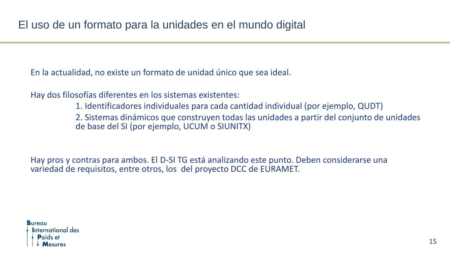En la actualidad, no existe un formato de unidad único que sea ideal.

Hay dos filosofías diferentes en los sistemas existentes:

1. Identificadores individuales para cada cantidad individual (por ejemplo, QUDT)

2. Sistemas dinámicos que construyen todas las unidades a partir del conjunto de unidades de base del SI (por ejemplo, UCUM o SIUNITX)

Hay pros y contras para ambos. El D-SI TG está analizando este punto. Deben considerarse una variedad de requisitos, entre otros, los del proyecto DCC de EURAMET.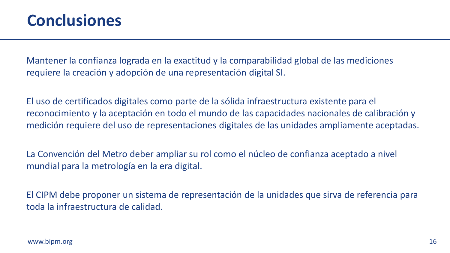## **Conclusiones**

Mantener la confianza lograda en la exactitud y la comparabilidad global de las mediciones requiere la creación y adopción de una representación digital SI.

El uso de certificados digitales como parte de la sólida infraestructura existente para el reconocimiento y la aceptación en todo el mundo de las capacidades nacionales de calibración y medición requiere del uso de representaciones digitales de las unidades ampliamente aceptadas.

La Convención del Metro deber ampliar su rol como el núcleo de confianza aceptado a nivel mundial para la metrología en la era digital.

El CIPM debe proponer un sistema de representación de la unidades que sirva de referencia para toda la infraestructura de calidad.